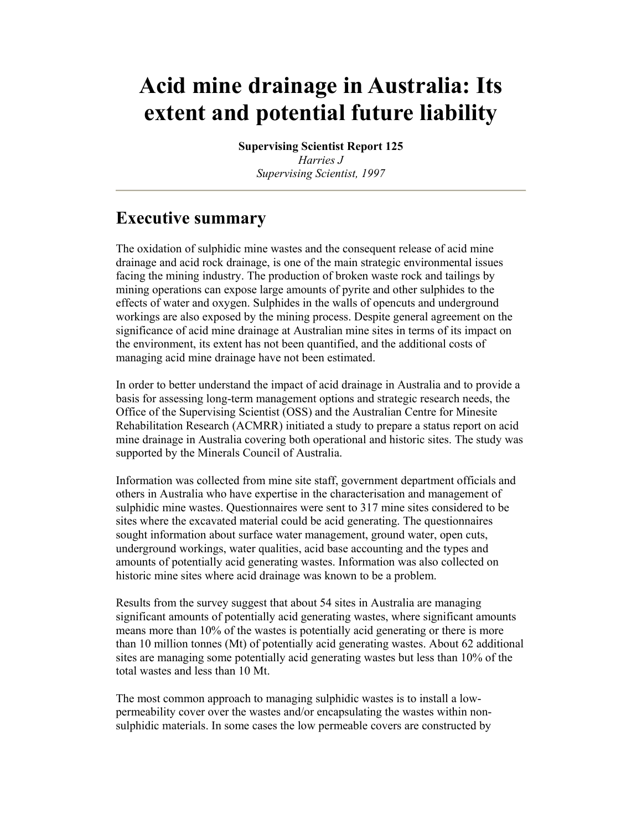# **Acid mine drainage in Australia: Its extent and potential future liability**

**Supervising Scientist Report 125** *Harries J Supervising Scientist, 1997* 

# **Executive summary**

The oxidation of sulphidic mine wastes and the consequent release of acid mine drainage and acid rock drainage, is one of the main strategic environmental issues facing the mining industry. The production of broken waste rock and tailings by mining operations can expose large amounts of pyrite and other sulphides to the effects of water and oxygen. Sulphides in the walls of opencuts and underground workings are also exposed by the mining process. Despite general agreement on the significance of acid mine drainage at Australian mine sites in terms of its impact on the environment, its extent has not been quantified, and the additional costs of managing acid mine drainage have not been estimated.

In order to better understand the impact of acid drainage in Australia and to provide a basis for assessing long-term management options and strategic research needs, the Office of the Supervising Scientist (OSS) and the Australian Centre for Minesite Rehabilitation Research (ACMRR) initiated a study to prepare a status report on acid mine drainage in Australia covering both operational and historic sites. The study was supported by the Minerals Council of Australia.

Information was collected from mine site staff, government department officials and others in Australia who have expertise in the characterisation and management of sulphidic mine wastes. Questionnaires were sent to 317 mine sites considered to be sites where the excavated material could be acid generating. The questionnaires sought information about surface water management, ground water, open cuts, underground workings, water qualities, acid base accounting and the types and amounts of potentially acid generating wastes. Information was also collected on historic mine sites where acid drainage was known to be a problem.

Results from the survey suggest that about 54 sites in Australia are managing significant amounts of potentially acid generating wastes, where significant amounts means more than 10% of the wastes is potentially acid generating or there is more than 10 million tonnes (Mt) of potentially acid generating wastes. About 62 additional sites are managing some potentially acid generating wastes but less than 10% of the total wastes and less than 10 Mt.

The most common approach to managing sulphidic wastes is to install a lowpermeability cover over the wastes and/or encapsulating the wastes within nonsulphidic materials. In some cases the low permeable covers are constructed by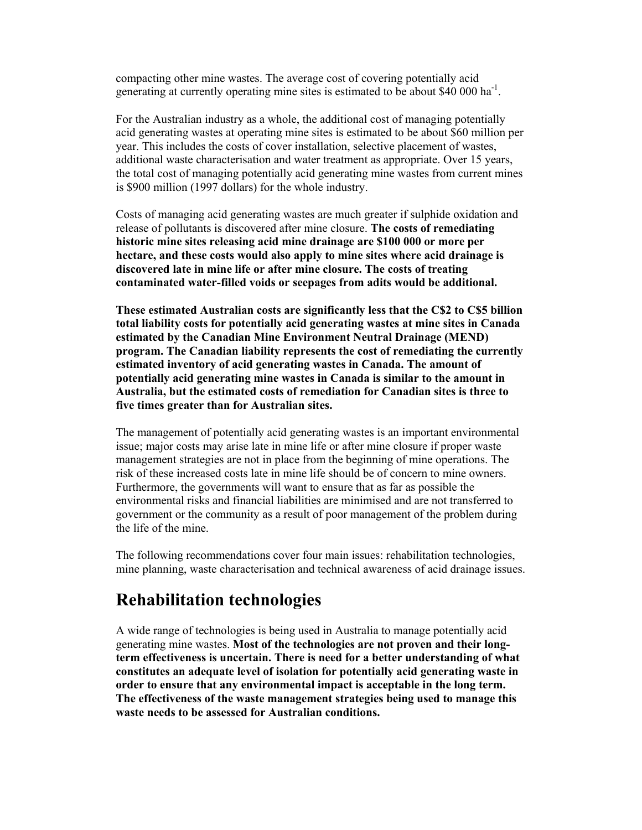compacting other mine wastes. The average cost of covering potentially acid generating at currently operating mine sites is estimated to be about \$40 000 ha<sup>-1</sup>.

For the Australian industry as a whole, the additional cost of managing potentially acid generating wastes at operating mine sites is estimated to be about \$60 million per year. This includes the costs of cover installation, selective placement of wastes, additional waste characterisation and water treatment as appropriate. Over 15 years, the total cost of managing potentially acid generating mine wastes from current mines is \$900 million (1997 dollars) for the whole industry.

Costs of managing acid generating wastes are much greater if sulphide oxidation and release of pollutants is discovered after mine closure. **The costs of remediating historic mine sites releasing acid mine drainage are \$100 000 or more per hectare, and these costs would also apply to mine sites where acid drainage is discovered late in mine life or after mine closure. The costs of treating contaminated water-filled voids or seepages from adits would be additional.** 

**These estimated Australian costs are significantly less that the C\$2 to C\$5 billion total liability costs for potentially acid generating wastes at mine sites in Canada estimated by the Canadian Mine Environment Neutral Drainage (MEND) program. The Canadian liability represents the cost of remediating the currently estimated inventory of acid generating wastes in Canada. The amount of potentially acid generating mine wastes in Canada is similar to the amount in Australia, but the estimated costs of remediation for Canadian sites is three to five times greater than for Australian sites.** 

The management of potentially acid generating wastes is an important environmental issue; major costs may arise late in mine life or after mine closure if proper waste management strategies are not in place from the beginning of mine operations. The risk of these increased costs late in mine life should be of concern to mine owners. Furthermore, the governments will want to ensure that as far as possible the environmental risks and financial liabilities are minimised and are not transferred to government or the community as a result of poor management of the problem during the life of the mine.

The following recommendations cover four main issues: rehabilitation technologies, mine planning, waste characterisation and technical awareness of acid drainage issues.

### **Rehabilitation technologies**

A wide range of technologies is being used in Australia to manage potentially acid generating mine wastes. **Most of the technologies are not proven and their longterm effectiveness is uncertain. There is need for a better understanding of what constitutes an adequate level of isolation for potentially acid generating waste in order to ensure that any environmental impact is acceptable in the long term. The effectiveness of the waste management strategies being used to manage this waste needs to be assessed for Australian conditions.**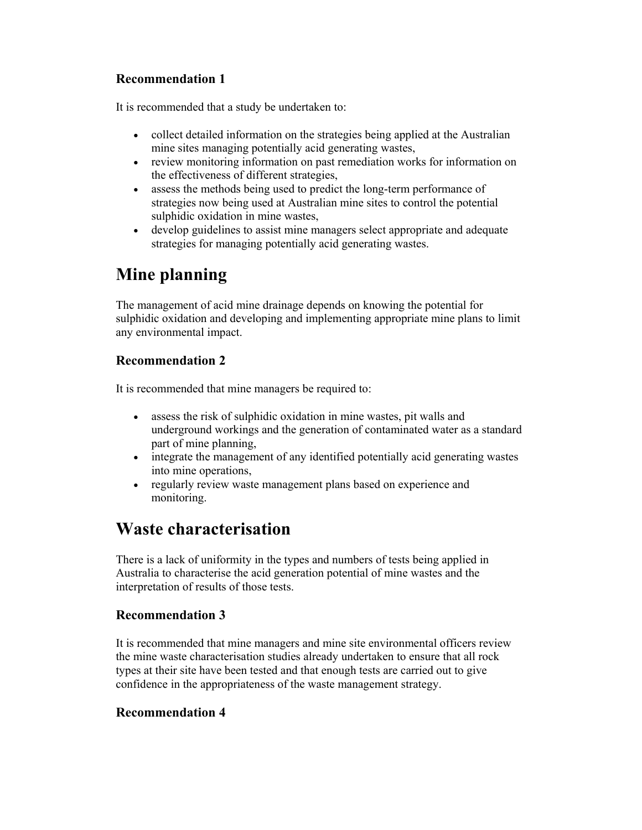### **Recommendation 1**

It is recommended that a study be undertaken to:

- collect detailed information on the strategies being applied at the Australian mine sites managing potentially acid generating wastes,
- review monitoring information on past remediation works for information on the effectiveness of different strategies,
- assess the methods being used to predict the long-term performance of strategies now being used at Australian mine sites to control the potential sulphidic oxidation in mine wastes,
- develop guidelines to assist mine managers select appropriate and adequate strategies for managing potentially acid generating wastes.

# **Mine planning**

The management of acid mine drainage depends on knowing the potential for sulphidic oxidation and developing and implementing appropriate mine plans to limit any environmental impact.

### **Recommendation 2**

It is recommended that mine managers be required to:

- assess the risk of sulphidic oxidation in mine wastes, pit walls and underground workings and the generation of contaminated water as a standard part of mine planning,
- integrate the management of any identified potentially acid generating wastes into mine operations,
- regularly review waste management plans based on experience and monitoring.

### **Waste characterisation**

There is a lack of uniformity in the types and numbers of tests being applied in Australia to characterise the acid generation potential of mine wastes and the interpretation of results of those tests.

### **Recommendation 3**

It is recommended that mine managers and mine site environmental officers review the mine waste characterisation studies already undertaken to ensure that all rock types at their site have been tested and that enough tests are carried out to give confidence in the appropriateness of the waste management strategy.

### **Recommendation 4**